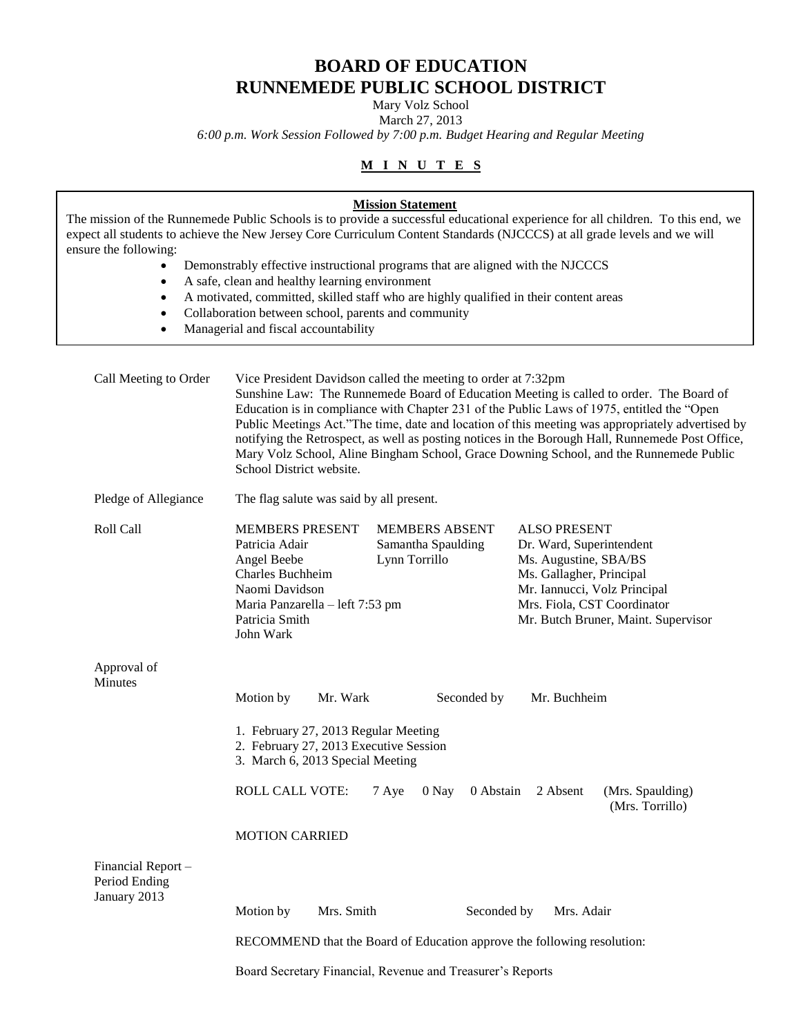# **BOARD OF EDUCATION RUNNEMEDE PUBLIC SCHOOL DISTRICT**

Mary Volz School March 27, 2013

*6:00 p.m. Work Session Followed by 7:00 p.m. Budget Hearing and Regular Meeting*

## **M I N U T E S**

| ensure the following:<br>$\bullet$<br>٠<br>$\bullet$ | A safe, clean and healthy learning environment<br>Collaboration between school, parents and community<br>Managerial and fiscal accountability                   | <b>Mission Statement</b><br>Demonstrably effective instructional programs that are aligned with the NJCCCS<br>A motivated, committed, skilled staff who are highly qualified in their content areas | The mission of the Runnemede Public Schools is to provide a successful educational experience for all children. To this end, we<br>expect all students to achieve the New Jersey Core Curriculum Content Standards (NJCCCS) at all grade levels and we will                                                                                                                                                                                                                             |
|------------------------------------------------------|-----------------------------------------------------------------------------------------------------------------------------------------------------------------|-----------------------------------------------------------------------------------------------------------------------------------------------------------------------------------------------------|-----------------------------------------------------------------------------------------------------------------------------------------------------------------------------------------------------------------------------------------------------------------------------------------------------------------------------------------------------------------------------------------------------------------------------------------------------------------------------------------|
| Call Meeting to Order                                | School District website.                                                                                                                                        | Vice President Davidson called the meeting to order at 7:32pm                                                                                                                                       | Sunshine Law: The Runnemede Board of Education Meeting is called to order. The Board of<br>Education is in compliance with Chapter 231 of the Public Laws of 1975, entitled the "Open<br>Public Meetings Act."The time, date and location of this meeting was appropriately advertised by<br>notifying the Retrospect, as well as posting notices in the Borough Hall, Runnemede Post Office,<br>Mary Volz School, Aline Bingham School, Grace Downing School, and the Runnemede Public |
| Pledge of Allegiance                                 | The flag salute was said by all present.                                                                                                                        |                                                                                                                                                                                                     |                                                                                                                                                                                                                                                                                                                                                                                                                                                                                         |
| Roll Call                                            | <b>MEMBERS PRESENT</b><br>Patricia Adair<br>Angel Beebe<br>Charles Buchheim<br>Naomi Davidson<br>Maria Panzarella - left 7:53 pm<br>Patricia Smith<br>John Wark | <b>MEMBERS ABSENT</b><br>Samantha Spaulding<br>Lynn Torrillo                                                                                                                                        | <b>ALSO PRESENT</b><br>Dr. Ward, Superintendent<br>Ms. Augustine, SBA/BS<br>Ms. Gallagher, Principal<br>Mr. Iannucci, Volz Principal<br>Mrs. Fiola, CST Coordinator<br>Mr. Butch Bruner, Maint. Supervisor                                                                                                                                                                                                                                                                              |
| Approval of                                          |                                                                                                                                                                 |                                                                                                                                                                                                     |                                                                                                                                                                                                                                                                                                                                                                                                                                                                                         |
| Minutes                                              | Motion by<br>Mr. Wark<br>1. February 27, 2013 Regular Meeting<br>2. February 27, 2013 Executive Session<br>3. March 6, 2013 Special Meeting                     | Seconded by                                                                                                                                                                                         | Mr. Buchheim                                                                                                                                                                                                                                                                                                                                                                                                                                                                            |
|                                                      | <b>ROLL CALL VOTE:</b>                                                                                                                                          | 7 Aye<br>$0$ Nay<br>0 Abstain                                                                                                                                                                       | 2 Absent<br>(Mrs. Spaulding)<br>(Mrs. Torrillo)                                                                                                                                                                                                                                                                                                                                                                                                                                         |
|                                                      | <b>MOTION CARRIED</b>                                                                                                                                           |                                                                                                                                                                                                     |                                                                                                                                                                                                                                                                                                                                                                                                                                                                                         |
| Financial Report-<br>Period Ending<br>January 2013   |                                                                                                                                                                 |                                                                                                                                                                                                     |                                                                                                                                                                                                                                                                                                                                                                                                                                                                                         |
|                                                      | Motion by<br>Mrs. Smith                                                                                                                                         | Seconded by                                                                                                                                                                                         | Mrs. Adair                                                                                                                                                                                                                                                                                                                                                                                                                                                                              |
|                                                      |                                                                                                                                                                 | RECOMMEND that the Board of Education approve the following resolution:                                                                                                                             |                                                                                                                                                                                                                                                                                                                                                                                                                                                                                         |

Board Secretary Financial, Revenue and Treasurer's Reports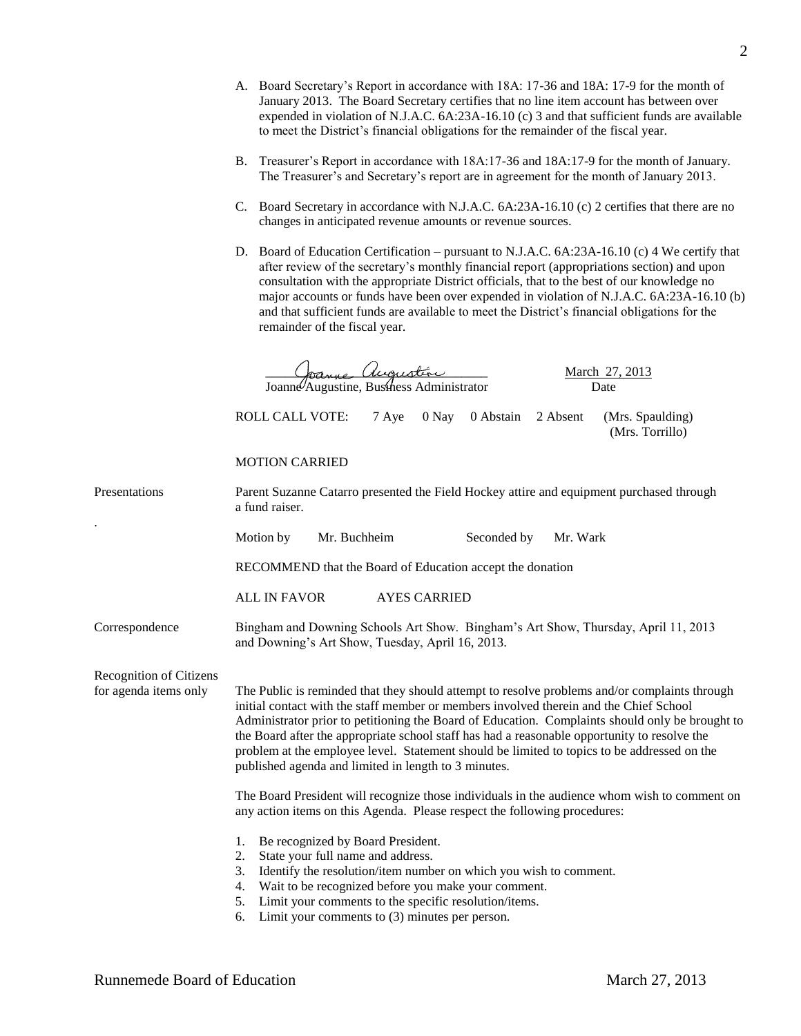|                                                  | A. Board Secretary's Report in accordance with 18A: 17-36 and 18A: 17-9 for the month of<br>January 2013. The Board Secretary certifies that no line item account has between over<br>expended in violation of N.J.A.C. 6A:23A-16.10 (c) 3 and that sufficient funds are available<br>to meet the District's financial obligations for the remainder of the fiscal year.                                                                                                                                                                          |  |  |
|--------------------------------------------------|---------------------------------------------------------------------------------------------------------------------------------------------------------------------------------------------------------------------------------------------------------------------------------------------------------------------------------------------------------------------------------------------------------------------------------------------------------------------------------------------------------------------------------------------------|--|--|
|                                                  | B. Treasurer's Report in accordance with 18A:17-36 and 18A:17-9 for the month of January.<br>The Treasurer's and Secretary's report are in agreement for the month of January 2013.<br>C. Board Secretary in accordance with N.J.A.C. 6A:23A-16.10 (c) 2 certifies that there are no<br>changes in anticipated revenue amounts or revenue sources.                                                                                                                                                                                                |  |  |
|                                                  |                                                                                                                                                                                                                                                                                                                                                                                                                                                                                                                                                   |  |  |
|                                                  | D. Board of Education Certification – pursuant to N.J.A.C. 6A:23A-16.10 (c) 4 We certify that<br>after review of the secretary's monthly financial report (appropriations section) and upon<br>consultation with the appropriate District officials, that to the best of our knowledge no<br>major accounts or funds have been over expended in violation of N.J.A.C. 6A:23A-16.10 (b)<br>and that sufficient funds are available to meet the District's financial obligations for the<br>remainder of the fiscal year.                           |  |  |
|                                                  | Augustin<br><u>March 27, 2013</u><br>Joanne Augustine, Business Administrator<br>Date                                                                                                                                                                                                                                                                                                                                                                                                                                                             |  |  |
|                                                  | <b>ROLL CALL VOTE:</b><br>0 Nay<br>0 Abstain 2 Absent<br>(Mrs. Spaulding)<br>7 Aye<br>(Mrs. Torrillo)                                                                                                                                                                                                                                                                                                                                                                                                                                             |  |  |
|                                                  | <b>MOTION CARRIED</b>                                                                                                                                                                                                                                                                                                                                                                                                                                                                                                                             |  |  |
| Presentations                                    | Parent Suzanne Catarro presented the Field Hockey attire and equipment purchased through<br>a fund raiser.                                                                                                                                                                                                                                                                                                                                                                                                                                        |  |  |
|                                                  | Mr. Buchheim<br>Seconded by<br>Motion by<br>Mr. Wark                                                                                                                                                                                                                                                                                                                                                                                                                                                                                              |  |  |
|                                                  | RECOMMEND that the Board of Education accept the donation                                                                                                                                                                                                                                                                                                                                                                                                                                                                                         |  |  |
|                                                  | <b>ALL IN FAVOR</b><br><b>AYES CARRIED</b>                                                                                                                                                                                                                                                                                                                                                                                                                                                                                                        |  |  |
| Correspondence                                   | Bingham and Downing Schools Art Show. Bingham's Art Show, Thursday, April 11, 2013<br>and Downing's Art Show, Tuesday, April 16, 2013.                                                                                                                                                                                                                                                                                                                                                                                                            |  |  |
| Recognition of Citizens<br>for agenda items only | The Public is reminded that they should attempt to resolve problems and/or complaints through<br>initial contact with the staff member or members involved therein and the Chief School<br>Administrator prior to petitioning the Board of Education. Complaints should only be brought to<br>the Board after the appropriate school staff has had a reasonable opportunity to resolve the<br>problem at the employee level. Statement should be limited to topics to be addressed on the<br>published agenda and limited in length to 3 minutes. |  |  |
|                                                  | The Board President will recognize those individuals in the audience whom wish to comment on<br>any action items on this Agenda. Please respect the following procedures:                                                                                                                                                                                                                                                                                                                                                                         |  |  |
|                                                  | Be recognized by Board President.<br>1.<br>State your full name and address.<br>2.<br>Identify the resolution/item number on which you wish to comment.<br>3.<br>Wait to be recognized before you make your comment.<br>4.<br>Limit your comments to the specific resolution/items.<br>5.                                                                                                                                                                                                                                                         |  |  |

6. Limit your comments to (3) minutes per person.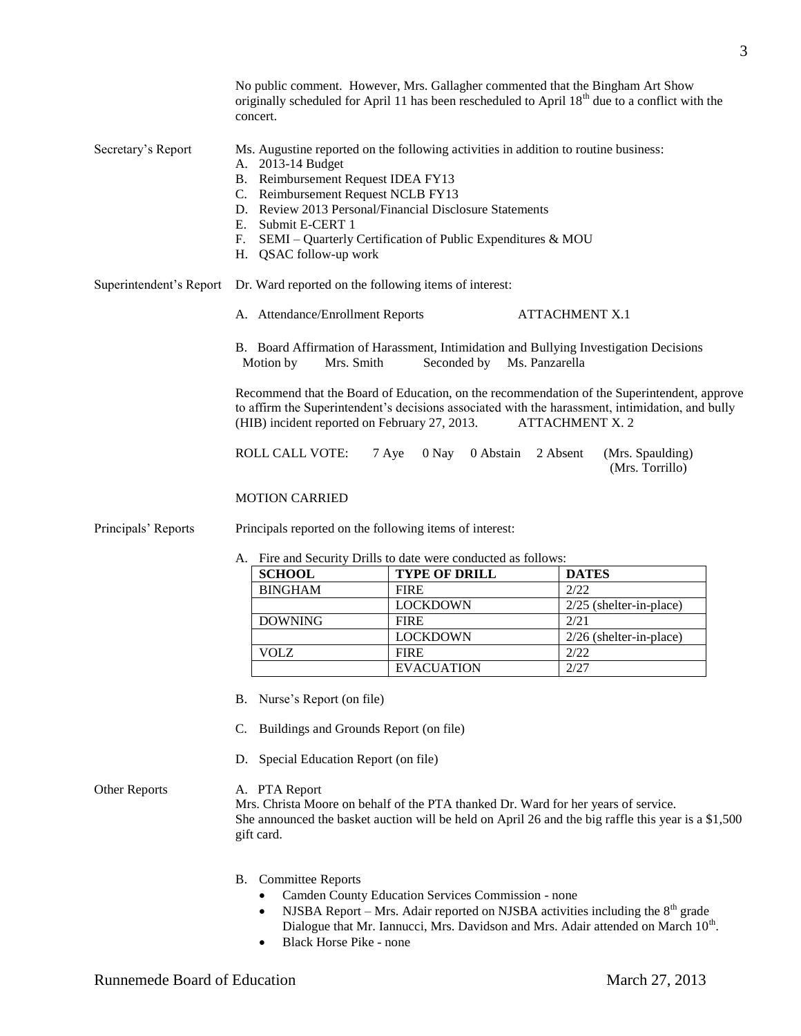originally scheduled for April 11 has been rescheduled to April  $18<sup>th</sup>$  due to a conflict with the concert. Secretary's Report Ms. Augustine reported on the following activities in addition to routine business: A. 2013-14 Budget B. Reimbursement Request IDEA FY13 C. Reimbursement Request NCLB FY13 D. Review 2013 Personal/Financial Disclosure Statements E. Submit E-CERT 1 F. SEMI – Quarterly Certification of Public Expenditures & MOU H. QSAC follow-up work Superintendent's Report Dr. Ward reported on the following items of interest: A. Attendance/Enrollment Reports ATTACHMENT X.1 B. Board Affirmation of Harassment, Intimidation and Bullying Investigation Decisions Motion by Mrs. Smith Seconded by Ms. Panzarella Recommend that the Board of Education, on the recommendation of the Superintendent, approve to affirm the Superintendent's decisions associated with the harassment, intimidation, and bully (HIB) incident reported on February 27, 2013. ATTACHMENT X. 2 ROLL CALL VOTE: 7 Aye 0 Nay 0 Abstain 2 Absent (Mrs. Spaulding) (Mrs. Torrillo) MOTION CARRIED Principals' Reports Principals reported on the following items of interest: A. Fire and Security Drills to date were conducted as follows: **SCHOOL TYPE OF DRILL DATES** BINGHAM FIRE 2/22 LOCKDOWN 2/25 (shelter-in-place) DOWNING FIRE 2/21 LOCKDOWN 2/26 (shelter-in-place) VOLZ FIRE 2/22 EVACUATION 2/27 B. Nurse's Report (on file) C. Buildings and Grounds Report (on file) D. Special Education Report (on file)

No public comment. However, Mrs. Gallagher commented that the Bingham Art Show

Other Reports A. PTA Report Mrs. Christa Moore on behalf of the PTA thanked Dr. Ward for her years of service. She announced the basket auction will be held on April 26 and the big raffle this year is a \$1,500 gift card.

- B. Committee Reports
	- Camden County Education Services Commission none
	- NJSBA Report Mrs. Adair reported on NJSBA activities including the  $8<sup>th</sup>$  grade Dialogue that Mr. Iannucci, Mrs. Davidson and Mrs. Adair attended on March  $10<sup>th</sup>$ .
	- Black Horse Pike none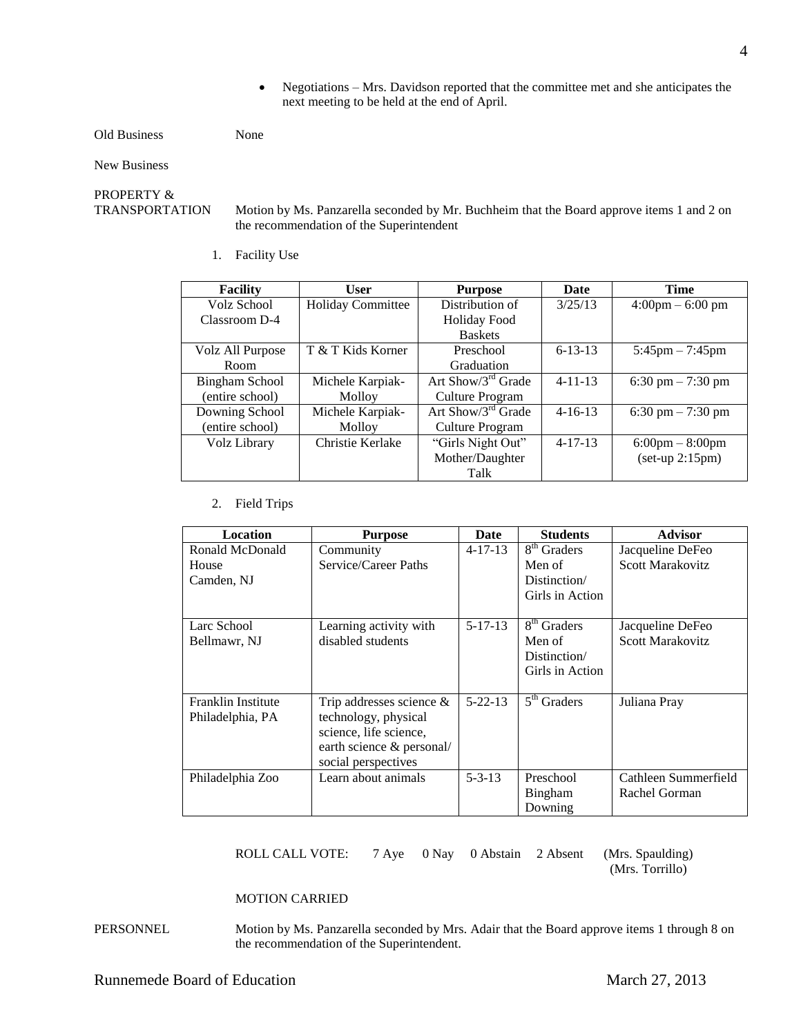Negotiations – Mrs. Davidson reported that the committee met and she anticipates the next meeting to be held at the end of April.

#### Old Business None

New Business

## PROPERTY &

TRANSPORTATION Motion by Ms. Panzarella seconded by Mr. Buchheim that the Board approve items 1 and 2 on the recommendation of the Superintendent

1. Facility Use

| <b>Facility</b>       | <b>User</b>              | <b>Purpose</b>           | Date          | <b>Time</b>                       |
|-----------------------|--------------------------|--------------------------|---------------|-----------------------------------|
| Volz School           | <b>Holiday Committee</b> | Distribution of          | 3/25/13       | $4:00 \text{pm} - 6:00 \text{pm}$ |
| Classroom D-4         |                          | <b>Holiday Food</b>      |               |                                   |
|                       |                          | <b>Baskets</b>           |               |                                   |
| Volz All Purpose      | T & T Kids Korner        | Preschool                | $6 - 13 - 13$ | $5:45 \text{pm} - 7:45 \text{pm}$ |
| Room                  |                          | Graduation               |               |                                   |
| <b>Bingham School</b> | Michele Karpiak-         | Art Show/ $3^{rd}$ Grade | $4 - 11 - 13$ | 6:30 pm $-7:30$ pm                |
| (entire school)       | Molloy                   | Culture Program          |               |                                   |
| Downing School        | Michele Karpiak-         | Art Show/ $3^{rd}$ Grade | $4 - 16 - 13$ | 6:30 pm $-7:30$ pm                |
| (entire school)       | Molloy                   | Culture Program          |               |                                   |
| Volz Library          | Christie Kerlake         | "Girls Night Out"        | $4 - 17 - 13$ | $6:00 \text{pm} - 8:00 \text{pm}$ |
|                       |                          | Mother/Daughter          |               | $(set-up 2:15pm)$                 |
|                       |                          | Talk                     |               |                                   |

### 2. Field Trips

| Location                  | <b>Purpose</b>              | Date          | <b>Students</b>             | <b>Advisor</b>          |
|---------------------------|-----------------------------|---------------|-----------------------------|-------------------------|
| Ronald McDonald           | Community                   | $4 - 17 - 13$ | $\overline{8^{th}}$ Graders | Jacqueline DeFeo        |
| House                     | Service/Career Paths        |               | Men of                      | <b>Scott Marakovitz</b> |
| Camden, NJ                |                             |               | Distinction/                |                         |
|                           |                             |               | Girls in Action             |                         |
|                           |                             |               |                             |                         |
| Larc School               | Learning activity with      | $5 - 17 - 13$ | 8 <sup>th</sup> Graders     | Jacqueline DeFeo        |
| Bellmawr, NJ              | disabled students           |               | Men of                      | <b>Scott Marakovitz</b> |
|                           |                             |               | Distinction/                |                         |
|                           |                             |               | Girls in Action             |                         |
|                           |                             |               |                             |                         |
| <b>Franklin Institute</b> | Trip addresses science $\&$ | $5 - 22 - 13$ | $5th$ Graders               | Juliana Pray            |
| Philadelphia, PA          | technology, physical        |               |                             |                         |
|                           | science, life science,      |               |                             |                         |
|                           | earth science & personal/   |               |                             |                         |
|                           | social perspectives         |               |                             |                         |
| Philadelphia Zoo          | Learn about animals         | $5 - 3 - 13$  | Preschool                   | Cathleen Summerfield    |
|                           |                             |               | <b>Bingham</b>              | Rachel Gorman           |
|                           |                             |               | Downing                     |                         |

ROLL CALL VOTE: 7 Aye 0 Nay 0 Abstain 2 Absent (Mrs. Spaulding)

(Mrs. Torrillo)

#### MOTION CARRIED

PERSONNEL Motion by Ms. Panzarella seconded by Mrs. Adair that the Board approve items 1 through 8 on the recommendation of the Superintendent.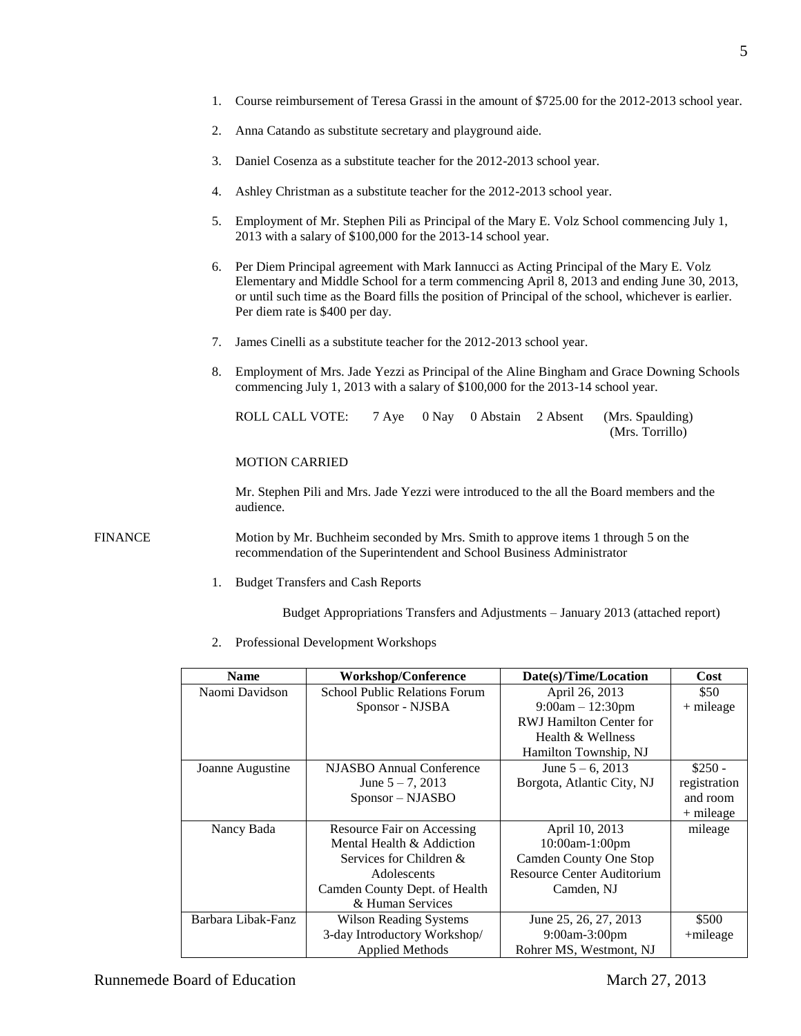- 1. Course reimbursement of Teresa Grassi in the amount of \$725.00 for the 2012-2013 school year.
- 2. Anna Catando as substitute secretary and playground aide.
- 3. Daniel Cosenza as a substitute teacher for the 2012-2013 school year.
- 4. Ashley Christman as a substitute teacher for the 2012-2013 school year.
- 5. Employment of Mr. Stephen Pili as Principal of the Mary E. Volz School commencing July 1, 2013 with a salary of \$100,000 for the 2013-14 school year.
- 6. Per Diem Principal agreement with Mark Iannucci as Acting Principal of the Mary E. Volz Elementary and Middle School for a term commencing April 8, 2013 and ending June 30, 2013, or until such time as the Board fills the position of Principal of the school, whichever is earlier. Per diem rate is \$400 per day.
- 7. James Cinelli as a substitute teacher for the 2012-2013 school year.
- 8. Employment of Mrs. Jade Yezzi as Principal of the Aline Bingham and Grace Downing Schools commencing July 1, 2013 with a salary of \$100,000 for the 2013-14 school year.

| ROLL CALL VOTE: 7 Aye 0 Nay 0 Abstain 2 Absent (Mrs. Spaulding) |  |  |                 |
|-----------------------------------------------------------------|--|--|-----------------|
|                                                                 |  |  | (Mrs. Torrillo) |

MOTION CARRIED

Mr. Stephen Pili and Mrs. Jade Yezzi were introduced to the all the Board members and the audience.

FINANCE Motion by Mr. Buchheim seconded by Mrs. Smith to approve items 1 through 5 on the recommendation of the Superintendent and School Business Administrator

1. Budget Transfers and Cash Reports

Budget Appropriations Transfers and Adjustments – January 2013 (attached report)

2. Professional Development Workshops

| <b>Name</b>        | <b>Workshop/Conference</b>           | Date(s)/Time/Location             | Cost         |
|--------------------|--------------------------------------|-----------------------------------|--------------|
| Naomi Davidson     | <b>School Public Relations Forum</b> | April 26, 2013                    | \$50         |
|                    | Sponsor - NJSBA                      | $9:00am - 12:30pm$                | $+$ mileage  |
|                    |                                      | <b>RWJ</b> Hamilton Center for    |              |
|                    |                                      | Health & Wellness                 |              |
|                    |                                      | Hamilton Township, NJ             |              |
| Joanne Augustine   | NJASBO Annual Conference             | June $5 - 6$ , 2013               | $$250 -$     |
|                    | June $5 - 7$ , 2013                  | Borgota, Atlantic City, NJ        | registration |
|                    | Sponsor - NJASBO                     |                                   | and room     |
|                    |                                      |                                   | $+$ mileage  |
| Nancy Bada         | Resource Fair on Accessing           | April 10, 2013                    | mileage      |
|                    | Mental Health & Addiction            | 10:00am-1:00pm                    |              |
|                    | Services for Children $\&$           | Camden County One Stop            |              |
|                    | Adolescents                          | <b>Resource Center Auditorium</b> |              |
|                    | Camden County Dept. of Health        | Camden, NJ                        |              |
|                    | & Human Services                     |                                   |              |
| Barbara Libak-Fanz | <b>Wilson Reading Systems</b>        | June 25, 26, 27, 2013             | \$500        |
|                    | 3-day Introductory Workshop/         | $9:00$ am-3:00pm                  | $+$ mileage  |
|                    | <b>Applied Methods</b>               | Rohrer MS, Westmont, NJ           |              |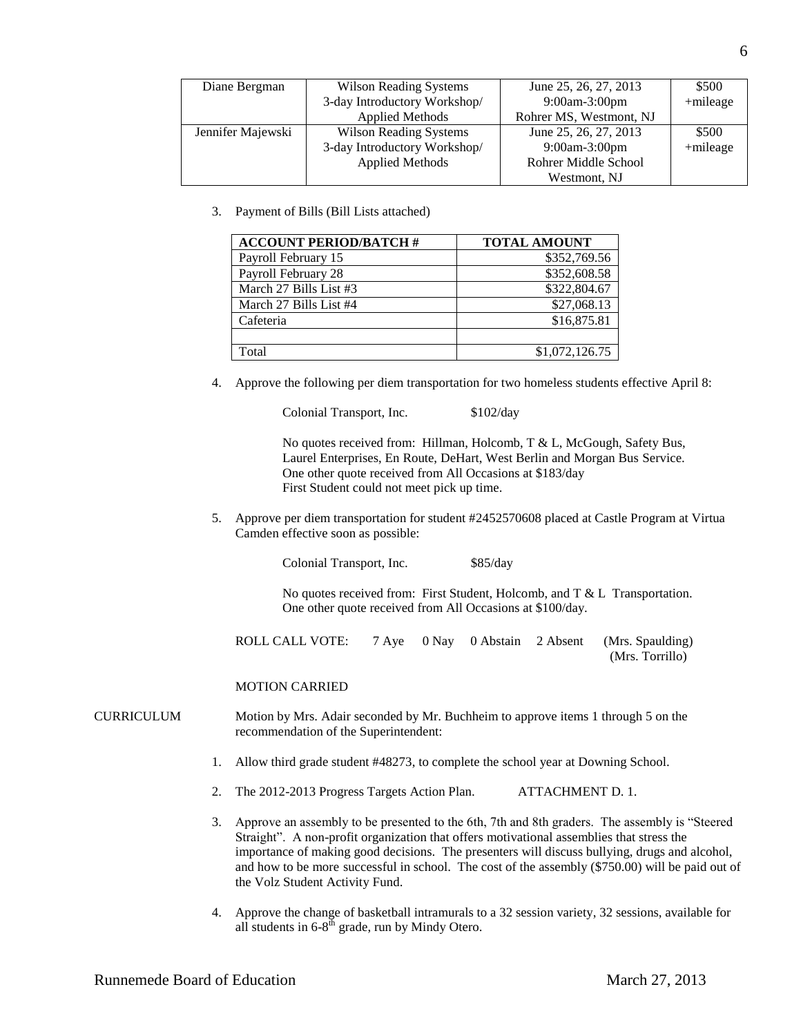| Diane Bergman     | <b>Wilson Reading Systems</b> | June 25, 26, 27, 2013   | \$500       |
|-------------------|-------------------------------|-------------------------|-------------|
|                   | 3-day Introductory Workshop/  | $9:00$ am-3:00pm        | +mileage    |
|                   | <b>Applied Methods</b>        | Rohrer MS, Westmont, NJ |             |
| Jennifer Majewski | <b>Wilson Reading Systems</b> | June 25, 26, 27, 2013   | \$500       |
|                   | 3-day Introductory Workshop/  | $9:00$ am-3:00pm        | $+$ mileage |
|                   | <b>Applied Methods</b>        | Rohrer Middle School    |             |
|                   |                               | Westmont, NJ            |             |

3. Payment of Bills (Bill Lists attached)

| <b>ACCOUNT PERIOD/BATCH #</b> | <b>TOTAL AMOUNT</b> |
|-------------------------------|---------------------|
| Payroll February 15           | \$352,769.56        |
| Payroll February 28           | \$352,608.58        |
| March 27 Bills List #3        | \$322,804.67        |
| March 27 Bills List #4        | \$27,068.13         |
| Cafeteria                     | \$16,875.81         |
|                               |                     |
| Total                         | \$1,072,126.75      |

4. Approve the following per diem transportation for two homeless students effective April 8:

Colonial Transport, Inc. \$102/day

No quotes received from: Hillman, Holcomb, T & L, McGough, Safety Bus, Laurel Enterprises, En Route, DeHart, West Berlin and Morgan Bus Service. One other quote received from All Occasions at \$183/day First Student could not meet pick up time.

5. Approve per diem transportation for student #2452570608 placed at Castle Program at Virtua Camden effective soon as possible:

Colonial Transport, Inc. \$85/day

No quotes received from: First Student, Holcomb, and T & L Transportation. One other quote received from All Occasions at \$100/day.

ROLL CALL VOTE: 7 Aye 0 Nay 0 Abstain 2 Absent (Mrs. Spaulding) (Mrs. Torrillo)

MOTION CARRIED

- CURRICULUM Motion by Mrs. Adair seconded by Mr. Buchheim to approve items 1 through 5 on the recommendation of the Superintendent:
	- 1. Allow third grade student #48273, to complete the school year at Downing School.
	- 2. The 2012-2013 Progress Targets Action Plan. ATTACHMENT D. 1.
	- 3. Approve an assembly to be presented to the 6th, 7th and 8th graders. The assembly is "Steered Straight". A non-profit organization that offers motivational assemblies that stress the importance of making good decisions. The presenters will discuss bullying, drugs and alcohol, and how to be more successful in school. The cost of the assembly (\$750.00) will be paid out of the Volz Student Activity Fund.
	- 4. Approve the change of basketball intramurals to a 32 session variety, 32 sessions, available for all students in  $6-8^{\text{th}}$  grade, run by Mindy Otero.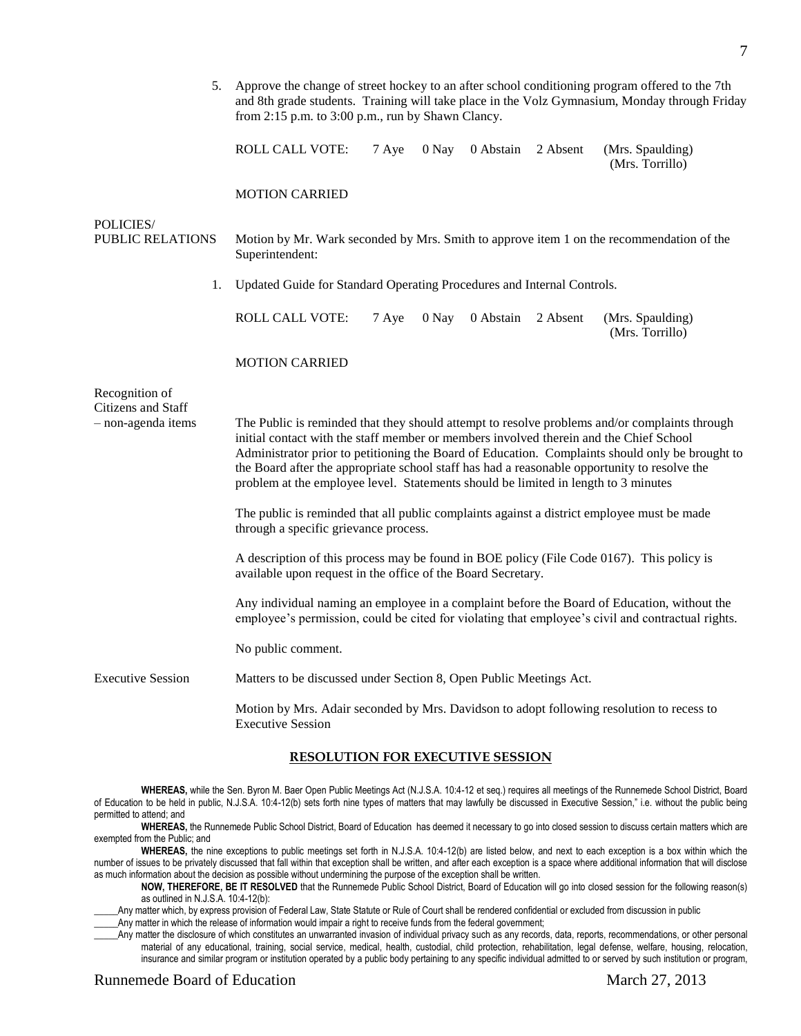| 5.                                                         | Approve the change of street hockey to an after school conditioning program offered to the 7th<br>and 8th grade students. Training will take place in the Volz Gymnasium, Monday through Friday<br>from $2:15$ p.m. to $3:00$ p.m., run by Shawn Clancy.                                                                                                                                                                                                                         |  |  |
|------------------------------------------------------------|----------------------------------------------------------------------------------------------------------------------------------------------------------------------------------------------------------------------------------------------------------------------------------------------------------------------------------------------------------------------------------------------------------------------------------------------------------------------------------|--|--|
|                                                            | ROLL CALL VOTE:<br>7 Aye<br>0 Nay 0 Abstain<br>2 Absent<br>(Mrs. Spaulding)<br>(Mrs. Torrillo)                                                                                                                                                                                                                                                                                                                                                                                   |  |  |
|                                                            | <b>MOTION CARRIED</b>                                                                                                                                                                                                                                                                                                                                                                                                                                                            |  |  |
| POLICIES/<br><b>PUBLIC RELATIONS</b>                       | Motion by Mr. Wark seconded by Mrs. Smith to approve item 1 on the recommendation of the<br>Superintendent:                                                                                                                                                                                                                                                                                                                                                                      |  |  |
| 1.                                                         | Updated Guide for Standard Operating Procedures and Internal Controls.                                                                                                                                                                                                                                                                                                                                                                                                           |  |  |
|                                                            | <b>ROLL CALL VOTE:</b><br>7 Aye<br>0 Nay<br>0 Abstain<br>2 Absent<br>(Mrs. Spaulding)<br>(Mrs. Torrillo)                                                                                                                                                                                                                                                                                                                                                                         |  |  |
|                                                            | <b>MOTION CARRIED</b>                                                                                                                                                                                                                                                                                                                                                                                                                                                            |  |  |
| Recognition of<br>Citizens and Staff<br>- non-agenda items | The Public is reminded that they should attempt to resolve problems and/or complaints through<br>initial contact with the staff member or members involved therein and the Chief School<br>Administrator prior to petitioning the Board of Education. Complaints should only be brought to<br>the Board after the appropriate school staff has had a reasonable opportunity to resolve the<br>problem at the employee level. Statements should be limited in length to 3 minutes |  |  |
|                                                            | The public is reminded that all public complaints against a district employee must be made<br>through a specific grievance process.                                                                                                                                                                                                                                                                                                                                              |  |  |
|                                                            | A description of this process may be found in BOE policy (File Code 0167). This policy is<br>available upon request in the office of the Board Secretary.                                                                                                                                                                                                                                                                                                                        |  |  |
|                                                            | Any individual naming an employee in a complaint before the Board of Education, without the<br>employee's permission, could be cited for violating that employee's civil and contractual rights.                                                                                                                                                                                                                                                                                 |  |  |
|                                                            | No public comment.                                                                                                                                                                                                                                                                                                                                                                                                                                                               |  |  |
| <b>Executive Session</b>                                   | Matters to be discussed under Section 8, Open Public Meetings Act.                                                                                                                                                                                                                                                                                                                                                                                                               |  |  |
|                                                            | Motion by Mrs. Adair seconded by Mrs. Davidson to adopt following resolution to recess to<br>Executive Session                                                                                                                                                                                                                                                                                                                                                                   |  |  |

#### **RESOLUTION FOR EXECUTIVE SESSION**

**WHEREAS,** while the Sen. Byron M. Baer Open Public Meetings Act (N.J.S.A. 10:4-12 et seq.) requires all meetings of the Runnemede School District, Board of Education to be held in public, N.J.S.A. 10:4-12(b) sets forth nine types of matters that may lawfully be discussed in Executive Session," i.e. without the public being permitted to attend; and

**WHEREAS,** the Runnemede Public School District, Board of Education has deemed it necessary to go into closed session to discuss certain matters which are exempted from the Public; and

**WHEREAS,** the nine exceptions to public meetings set forth in N.J.S.A. 10:4-12(b) are listed below, and next to each exception is a box within which the number of issues to be privately discussed that fall within that exception shall be written, and after each exception is a space where additional information that will disclose as much information about the decision as possible without undermining the purpose of the exception shall be written.

**NOW, THEREFORE, BE IT RESOLVED** that the Runnemede Public School District, Board of Education will go into closed session for the following reason(s) as outlined in N.J.S.A. 10:4-12(b):

Any matter which, by express provision of Federal Law, State Statute or Rule of Court shall be rendered confidential or excluded from discussion in public

\_\_\_\_\_Any matter in which the release of information would impair a right to receive funds from the federal government;

\_\_\_\_\_Any matter the disclosure of which constitutes an unwarranted invasion of individual privacy such as any records, data, reports, recommendations, or other personal material of any educational, training, social service, medical, health, custodial, child protection, rehabilitation, legal defense, welfare, housing, relocation, insurance and similar program or institution operated by a public body pertaining to any specific individual admitted to or served by such institution or program,